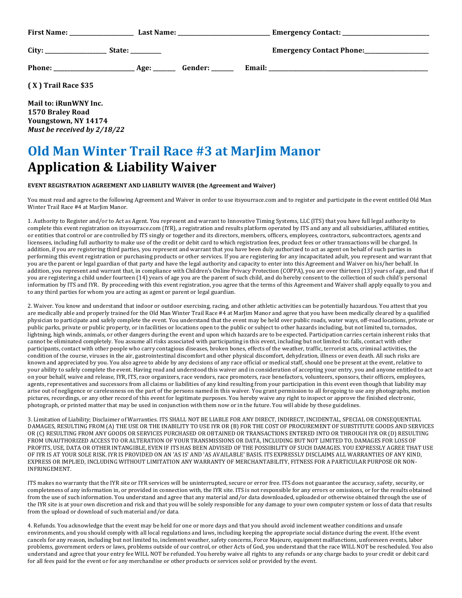|                                                                   | Emergency Contact Phone:__________________ |  |
|-------------------------------------------------------------------|--------------------------------------------|--|
|                                                                   |                                            |  |
| $(X)$ Trail Race \$35                                             |                                            |  |
| Mail to: iRunWNY Inc.<br>1570 Braley Road<br>Youngstown, NY 14174 |                                            |  |

## **Old Man Winter Trail Race #3 at MarJim Manor Application & Liability Waiver**

## **EVENT REGISTRATION AGREEMENT AND LIABILITY WAIVER (the Agreement and Waiver)**

*Must be received by 2/18/22*

You must read and agree to the following Agreement and Waiver in order to use itsyourrace.com and to register and participate in the event entitled Old Man Winter Trail Race #4 at MarJim Manor.

1. Authority to Register and/or to Act as Agent. You represent and warrant to Innovative Timing Systems, LLC (ITS) that you have full legal authority to complete this event registration on itsyourrace.com (IYR), a registration and results platform operated by ITS and any and all subsidiaries, affiliated entities, or entities that control or are controlled by ITS singly or together and its directors, members, officers, employees, contractors, subcontractors, agents and licensees, including full authority to make use of the credit or debit card to which registration fees, product fees or other transactions will be charged. In addition, if you are registering third parties, you represent and warrant that you have been duly authorized to act as agent on behalf of such parties in performing this event registration or purchasing products or other services. If you are registering for any incapacitated adult, you represent and warrant that you are the parent or legal guardian of that party and have the legal authority and capacity to enter into this Agreement and Waiver on his/her behalf. In addition, you represent and warrant that, in compliance with Children's Online Privacy Protection (COPPA), you are over thirteen (13) years of age, and that if you are registering a child under fourteen (14) years of age you are the parent of such child, and do hereby consent to the collection of such child's personal information by ITS and IYR. By proceeding with this event registration, you agree that the terms of this Agreement and Waiver shall apply equally to you and to any third parties for whom you are acting as agent or parent or legal guardian.

2. Waiver. You know and understand that indoor or outdoor exercising, racing, and other athletic activities can be potentially hazardous. You attest that you are medically able and properly trained for the Old Man Winter Trail Race #4 at MarJim Manor and agree that you have been medically cleared by a qualified physician to participate and safely complete the event. You understand that the event may be held over public roads, water ways, off-road locations, private or public parks, private or public property, or in facilities or locations open to the public or subject to other hazards including, but not limited to, tornados, lightning, high winds, animals, or other dangers during the event and upon which hazards are to be expected. Participation carries certain inherent risks that cannot be eliminated completely. You assume all risks associated with participating in this event, including but not limited to: falls, contact with other participants, contact with other people who carry contagious diseases, broken bones, effects of the weather, traffic, terrorist acts, criminal activities, the condition of the course, viruses in the air, gastrointestinal discomfort and other physical discomfort, dehydration, illness or even death. All such risks are known and appreciated by you. You also agree to abide by any decisions of any race official or medical staff, should one be present at the event, relative to your ability to safely complete the event. Having read and understood this waiver and in consideration of accepting your entry, you and anyone entitled to act on your behalf, waive and release, IYR, ITS, race organizers, race vendors, race promoters, race benefactors, volunteers, sponsors, their officers, employees, agents, representatives and successors from all claims or liabilities of any kind resulting from your participation in this event even though that liability may arise out of negligence or carelessness on the part of the persons named in this waiver. You grant permission to all foregoing to use any photographs, motion pictures, recordings, or any other record of this event for legitimate purposes. You hereby waive any right to inspect or approve the finished electronic, photograph, or printed matter that may be used in conjunction with them now or in the future. You will abide by these guidelines.

3. Limitation of Liability; Disclaimer of Warranties. ITS SHALL NOT BE LIABLE FOR ANY DIRECT, INDIRECT, INCIDENTAL, SPECIAL OR CONSEQUENTIAL DAMAGES, RESULTING FROM (A) THE USE OR THE INABILITY TO USE IYR OR (B) FOR THE COST OF PROCUREMENT OF SUBSTITUTE GOODS AND SERVICES OR (C) RESULTING FROM ANY GOODS OR SERVICES PURCHASED OR OBTAINED OR TRANSACTIONS ENTERED INTO OR THROUGH IYR OR (D) RESULTING FROM UNAUTHORIZED ACCESS TO OR ALTERATION OF YOUR TRANSMISSIONS OR DATA, INCLUDING BUT NOT LIMITED TO, DAMAGES FOR LOSS OF PROFITS, USE, DATA OR OTHER INTANGIBLE, EVEN IF ITS HAS BEEN ADVISED OF THE POSSIBILITY OF SUCH DAMAGES. YOU EXPRESSLY AGREE THAT USE OF IYR IS AT YOUR SOLE RISK. IYR IS PROVIDED ON AN 'AS IS' AND 'AS AVAILABLE' BASIS. ITS EXPRESSLY DISCLAIMS ALL WARRANTIES OF ANY KIND, EXPRESS OR IMPLIED, INCLUDING WITHOUT LIMITATION ANY WARRANTY OF MERCHANTABILITY, FITNESS FOR A PARTICULAR PURPOSE OR NON-INFRINGEMENT. 

ITS makes no warranty that the IYR site or IYR services will be uninterrupted, secure or error free. ITS does not guarantee the accuracy, safety, security, or completeness of any information in, or provided in connection with, the IYR site. ITS is not responsible for any errors or omissions, or for the results obtained from the use of such information. You understand and agree that any material and/or data downloaded, uploaded or otherwise obtained through the use of the IYR site is at your own discretion and risk and that you will be solely responsible for any damage to your own computer system or loss of data that results from the upload or download of such material and/or data.

4. Refunds. You acknowledge that the event may be held for one or more days and that you should avoid inclement weather conditions and unsafe environments, and you should comply with all local regulations and laws, including keeping the appropriate social distance during the event. If the event cancels for any reason, including but not limited to, inclement weather, safety concerns, Force Majeure, equipment malfunctions, unforeseen events, labor problems, government orders or laws, problems outside of our control, or other Acts of God, you understand that the race WILL NOT be rescheduled. You also understand and agree that your entry fee WILL NOT be refunded. You hereby waive all rights to any refunds or any charge backs to your credit or debit card for all fees paid for the event or for any merchandise or other products or services sold or provided by the event.